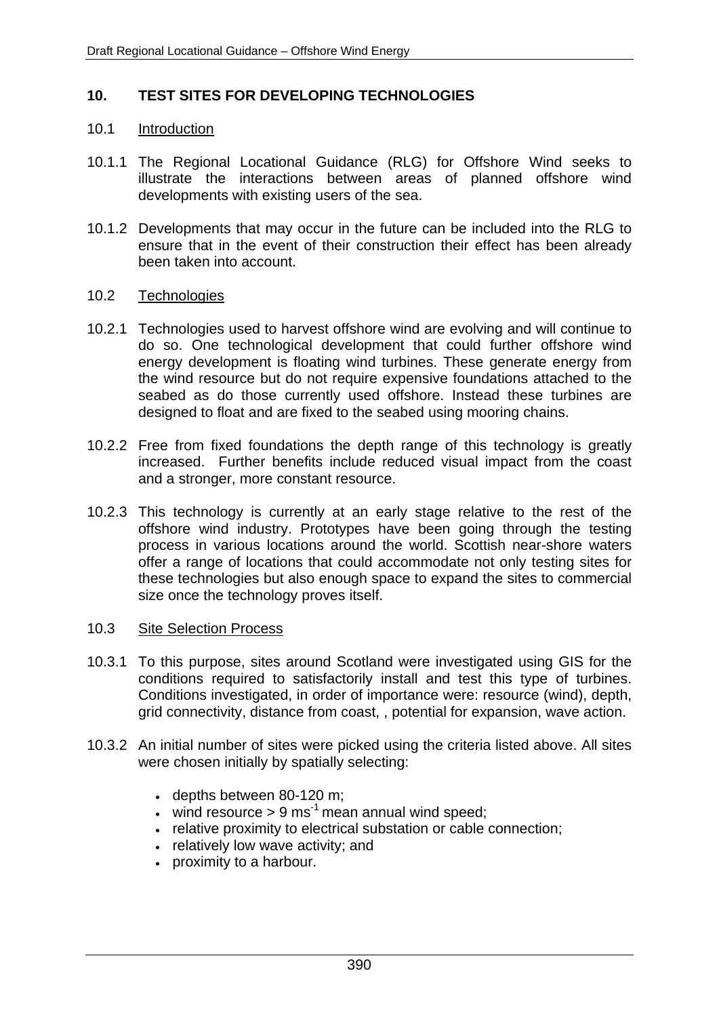### **10. TEST SITES FOR DEVELOPING TECHNOLOGIES**

#### 10.1 Introduction

- 10.1.1 The Regional Locational Guidance (RLG) for Offshore Wind seeks to illustrate the interactions between areas of planned offshore wind developments with existing users of the sea.
- 10.1.2 Developments that may occur in the future can be included into the RLG to ensure that in the event of their construction their effect has been already been taken into account.

#### 10.2 Technologies

- 10.2.1 Technologies used to harvest offshore wind are evolving and will continue to do so. One technological development that could further offshore wind energy development is floating wind turbines. These generate energy from the wind resource but do not require expensive foundations attached to the seabed as do those currently used offshore. Instead these turbines are designed to float and are fixed to the seabed using mooring chains.
- 10.2.2 Free from fixed foundations the depth range of this technology is greatly increased. Further benefits include reduced visual impact from the coast and a stronger, more constant resource.
- 10.2.3 This technology is currently at an early stage relative to the rest of the offshore wind industry. Prototypes have been going through the testing process in various locations around the world. Scottish near-shore waters offer a range of locations that could accommodate not only testing sites for these technologies but also enough space to expand the sites to commercial size once the technology proves itself.

#### 10.3 Site Selection Process

- 10.3.1 To this purpose, sites around Scotland were investigated using GIS for the conditions required to satisfactorily install and test this type of turbines. Conditions investigated, in order of importance were: resource (wind), depth, grid connectivity, distance from coast, , potential for expansion, wave action.
- 10.3.2 An initial number of sites were picked using the criteria listed above. All sites were chosen initially by spatially selecting:
	- depths between 80-120 m;
	- wind resource  $> 9$  ms<sup>-1</sup> mean annual wind speed;
	- relative proximity to electrical substation or cable connection;
	- relatively low wave activity; and
	- proximity to a harbour.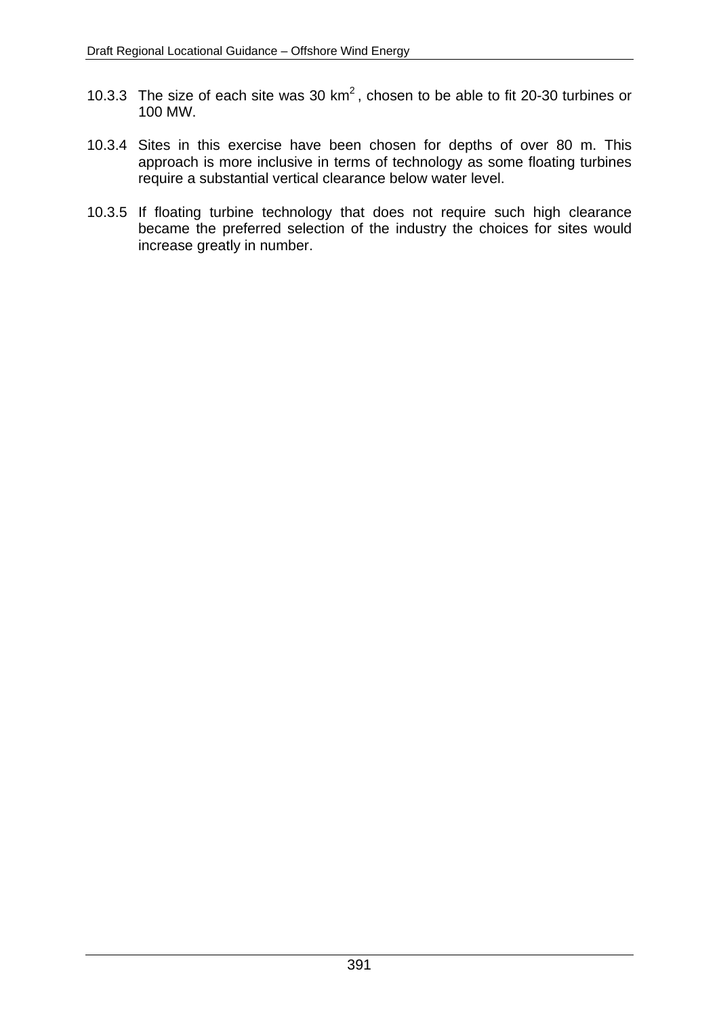- 10.3.3 The size of each site was 30  $km^2$ , chosen to be able to fit 20-30 turbines or 100 MW.
- 10.3.4 Sites in this exercise have been chosen for depths of over 80 m. This approach is more inclusive in terms of technology as some floating turbines require a substantial vertical clearance below water level.
- 10.3.5 If floating turbine technology that does not require such high clearance became the preferred selection of the industry the choices for sites would increase greatly in number.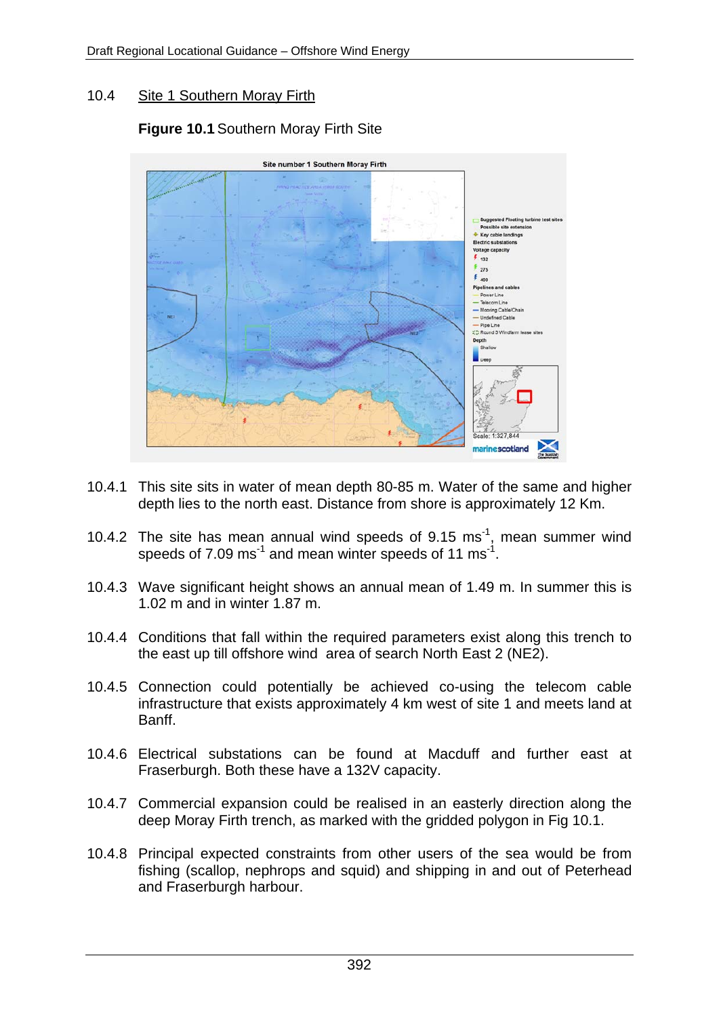# 10.4 Site 1 Southern Moray Firth

# **Figure 10.1** Southern Moray Firth Site



- 10.4.1 This site sits in water of mean depth 80-85 m. Water of the same and higher depth lies to the north east. Distance from shore is approximately 12 Km.
- 10.4.2 The site has mean annual wind speeds of  $9.15 \text{ ms}^{-1}$ , mean summer wind speeds of 7.09 ms<sup>-1</sup> and mean winter speeds of 11 ms<sup>-1</sup>.
- 10.4.3 Wave significant height shows an annual mean of 1.49 m. In summer this is 1.02 m and in winter 1.87 m.
- 10.4.4 Conditions that fall within the required parameters exist along this trench to the east up till offshore wind area of search North East 2 (NE2).
- 10.4.5 Connection could potentially be achieved co-using the telecom cable infrastructure that exists approximately 4 km west of site 1 and meets land at Banff.
- 10.4.6 Electrical substations can be found at Macduff and further east at Fraserburgh. Both these have a 132V capacity.
- 10.4.7 Commercial expansion could be realised in an easterly direction along the deep Moray Firth trench, as marked with the gridded polygon in Fig 10.1.
- 10.4.8 Principal expected constraints from other users of the sea would be from fishing (scallop, nephrops and squid) and shipping in and out of Peterhead and Fraserburgh harbour.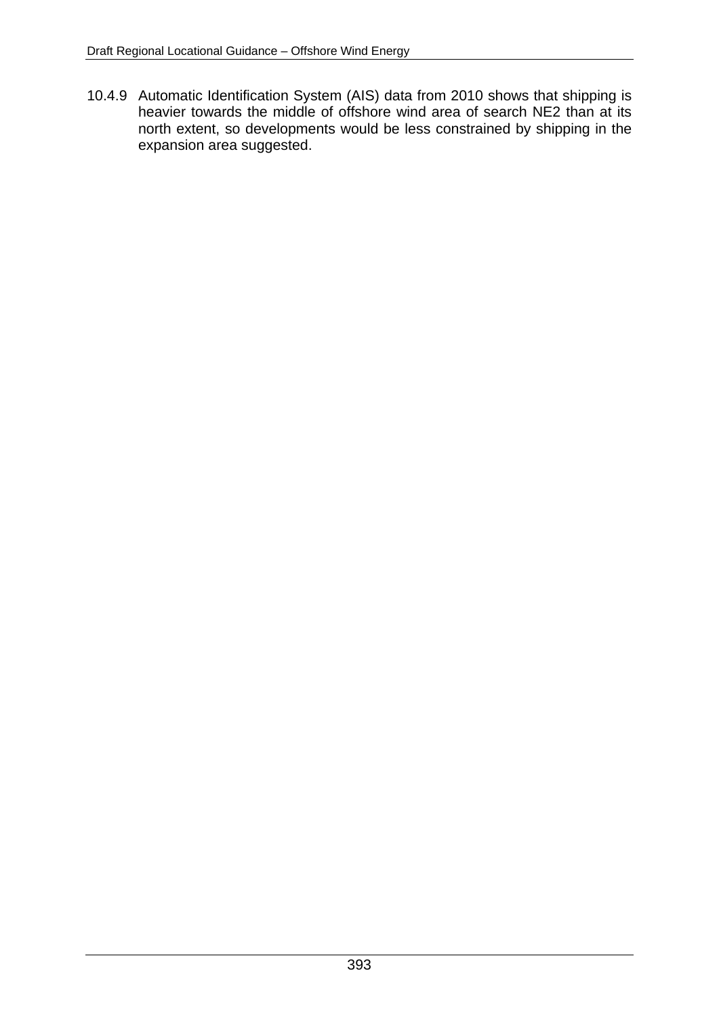10.4.9 Automatic Identification System (AIS) data from 2010 shows that shipping is heavier towards the middle of offshore wind area of search NE2 than at its north extent, so developments would be less constrained by shipping in the expansion area suggested.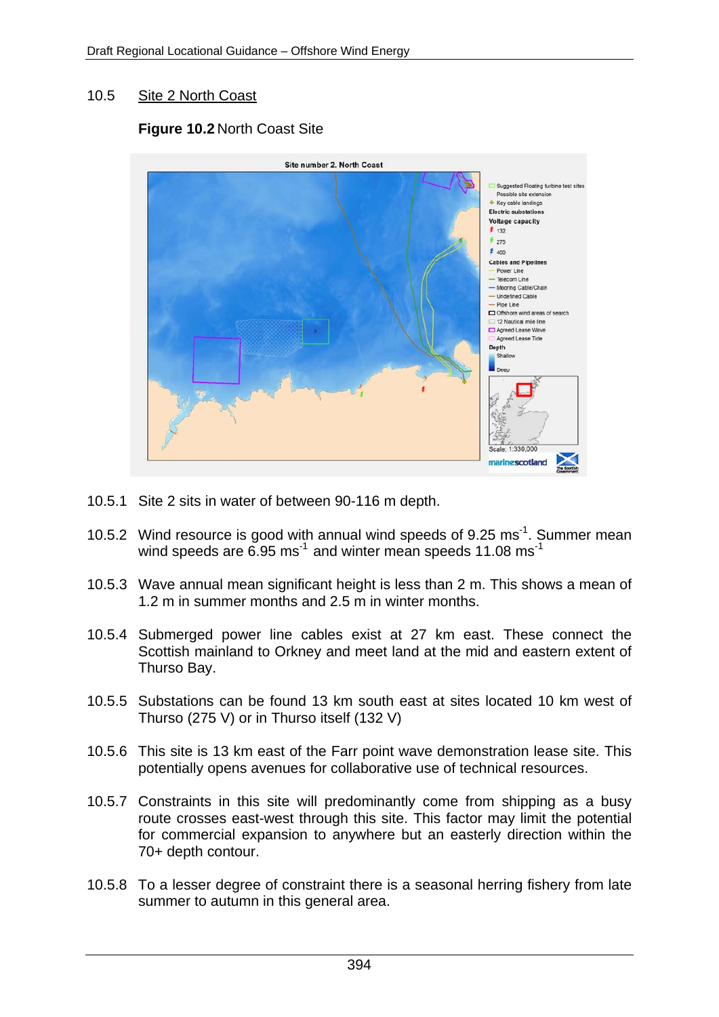### 10.5 Site 2 North Coast

# **Figure 10.2** North Coast Site



- 10.5.1 Site 2 sits in water of between 90-116 m depth.
- 10.5.2 Wind resource is good with annual wind speeds of  $9.25 \text{ ms}^{-1}$ . Summer mean wind speeds are  $6.95$  ms<sup>-1</sup> and winter mean speeds 11.08 ms<sup>-1</sup>
- 10.5.3 Wave annual mean significant height is less than 2 m. This shows a mean of 1.2 m in summer months and 2.5 m in winter months.
- 10.5.4 Submerged power line cables exist at 27 km east. These connect the Scottish mainland to Orkney and meet land at the mid and eastern extent of Thurso Bay.
- 10.5.5 Substations can be found 13 km south east at sites located 10 km west of Thurso (275 V) or in Thurso itself (132 V)
- 10.5.6 This site is 13 km east of the Farr point wave demonstration lease site. This potentially opens avenues for collaborative use of technical resources.
- 10.5.7 Constraints in this site will predominantly come from shipping as a busy route crosses east-west through this site. This factor may limit the potential for commercial expansion to anywhere but an easterly direction within the 70+ depth contour.
- 10.5.8 To a lesser degree of constraint there is a seasonal herring fishery from late summer to autumn in this general area.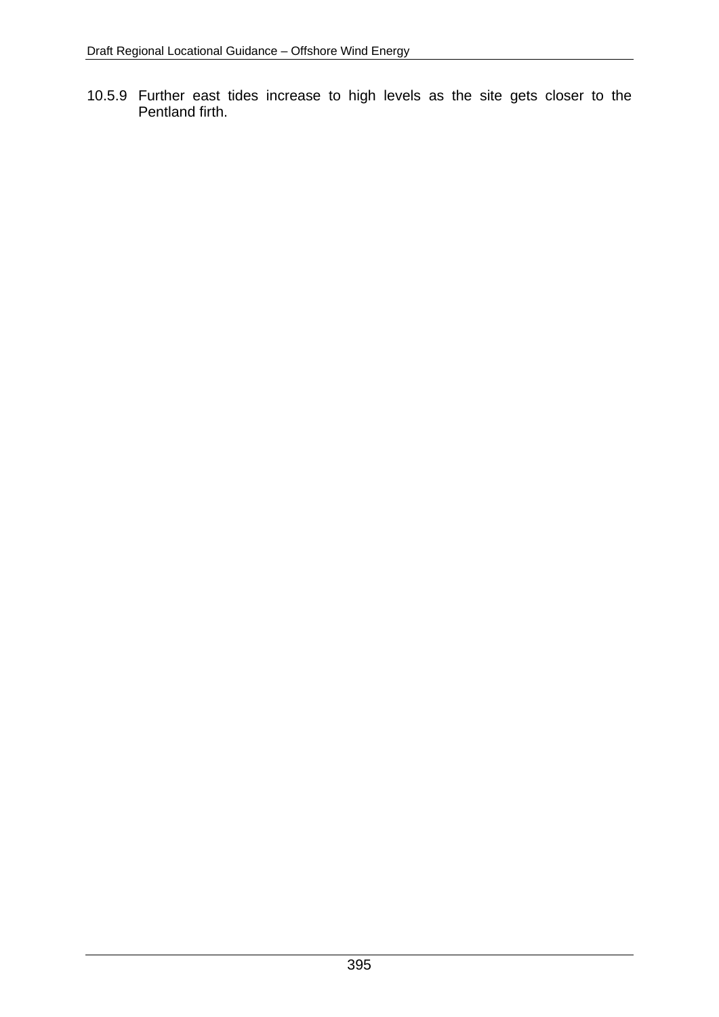10.5.9 Further east tides increase to high levels as the site gets closer to the Pentland firth.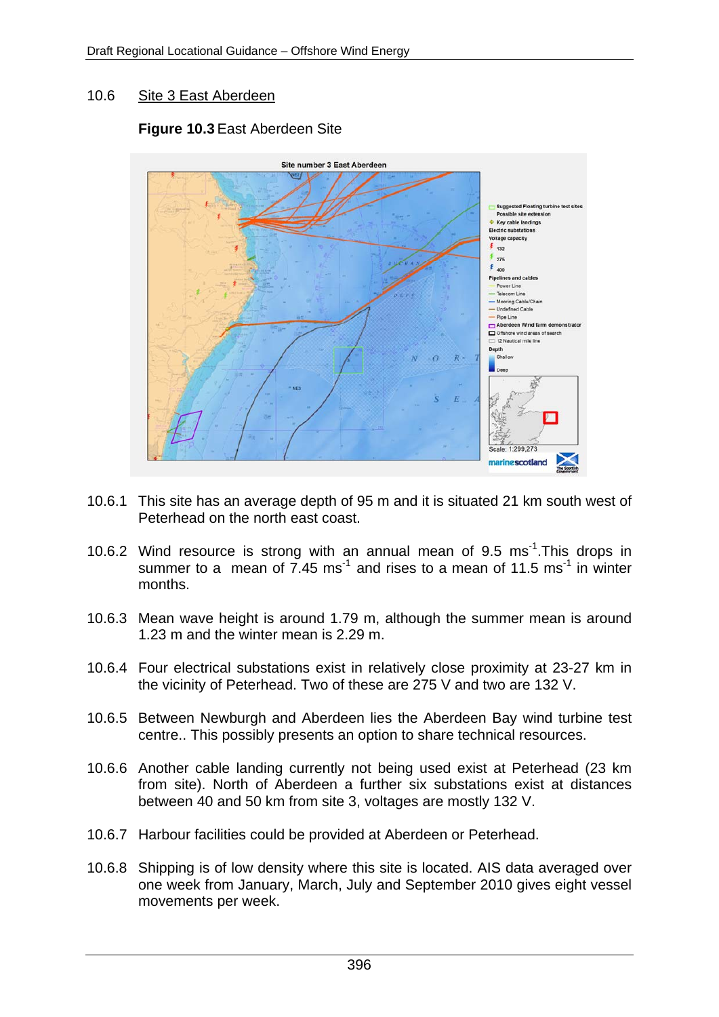### 10.6 Site 3 East Aberdeen

# **Figure 10.3** East Aberdeen Site



- 10.6.1 This site has an average depth of 95 m and it is situated 21 km south west of Peterhead on the north east coast.
- 10.6.2 Wind resource is strong with an annual mean of 9.5 ms<sup>-1</sup>. This drops in summer to a mean of  $7.45 \text{ ms}^{-1}$  and rises to a mean of  $11.5 \text{ ms}^{-1}$  in winter months.
- 10.6.3 Mean wave height is around 1.79 m, although the summer mean is around 1.23 m and the winter mean is 2.29 m.
- 10.6.4 Four electrical substations exist in relatively close proximity at 23-27 km in the vicinity of Peterhead. Two of these are 275 V and two are 132 V.
- 10.6.5 Between Newburgh and Aberdeen lies the Aberdeen Bay wind turbine test centre.. This possibly presents an option to share technical resources.
- 10.6.6 Another cable landing currently not being used exist at Peterhead (23 km from site). North of Aberdeen a further six substations exist at distances between 40 and 50 km from site 3, voltages are mostly 132 V.
- 10.6.7 Harbour facilities could be provided at Aberdeen or Peterhead.
- 10.6.8 Shipping is of low density where this site is located. AIS data averaged over one week from January, March, July and September 2010 gives eight vessel movements per week.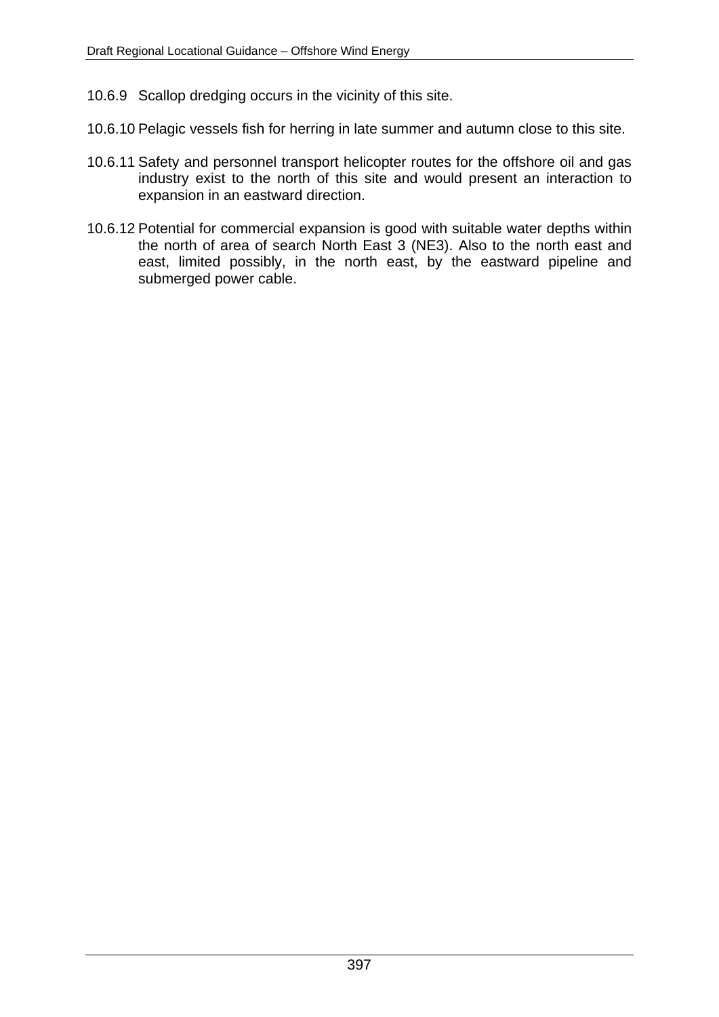- 10.6.9 Scallop dredging occurs in the vicinity of this site.
- 10.6.10 Pelagic vessels fish for herring in late summer and autumn close to this site.
- 10.6.11 Safety and personnel transport helicopter routes for the offshore oil and gas industry exist to the north of this site and would present an interaction to expansion in an eastward direction.
- 10.6.12 Potential for commercial expansion is good with suitable water depths within the north of area of search North East 3 (NE3). Also to the north east and east, limited possibly, in the north east, by the eastward pipeline and submerged power cable.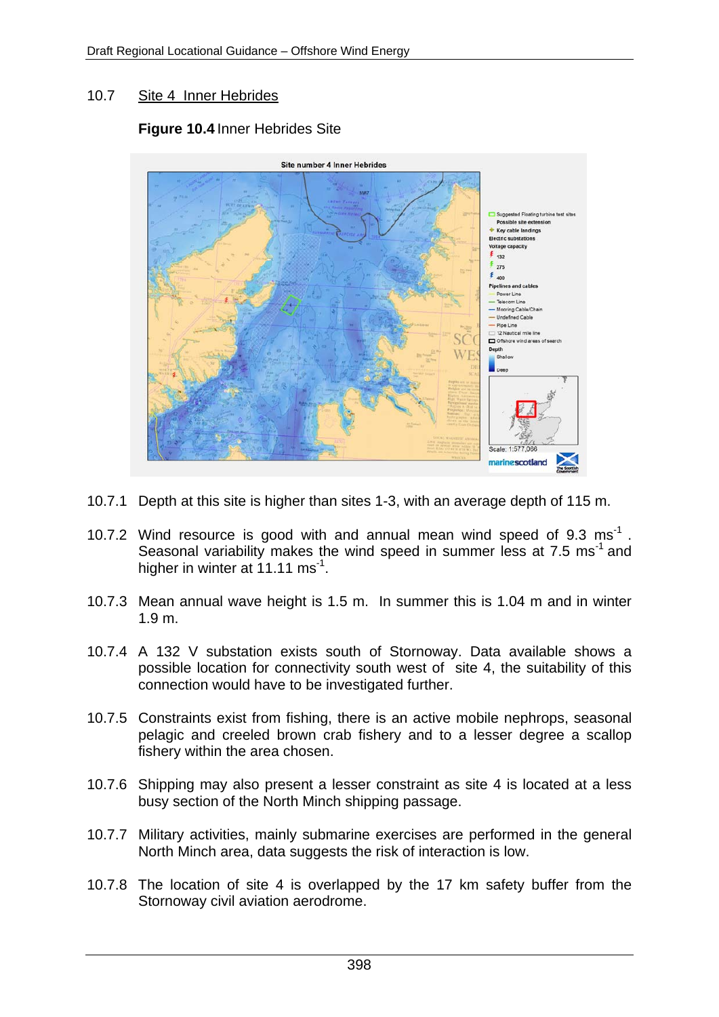### 10.7 Site 4 Inner Hebrides

### **Figure 10.4** Inner Hebrides Site



- 10.7.1 Depth at this site is higher than sites 1-3, with an average depth of 115 m.
- 10.7.2 Wind resource is good with and annual mean wind speed of 9.3 ms<sup>-1</sup>. Seasonal variability makes the wind speed in summer less at 7.5 ms<sup>-1</sup> and higher in winter at 11.11 ms<sup>-1</sup>.
- 10.7.3 Mean annual wave height is 1.5 m. In summer this is 1.04 m and in winter 1.9 m.
- 10.7.4 A 132 V substation exists south of Stornoway. Data available shows a possible location for connectivity south west of site 4, the suitability of this connection would have to be investigated further.
- 10.7.5 Constraints exist from fishing, there is an active mobile nephrops, seasonal pelagic and creeled brown crab fishery and to a lesser degree a scallop fishery within the area chosen.
- 10.7.6 Shipping may also present a lesser constraint as site 4 is located at a less busy section of the North Minch shipping passage.
- 10.7.7 Military activities, mainly submarine exercises are performed in the general North Minch area, data suggests the risk of interaction is low.
- 10.7.8 The location of site 4 is overlapped by the 17 km safety buffer from the Stornoway civil aviation aerodrome.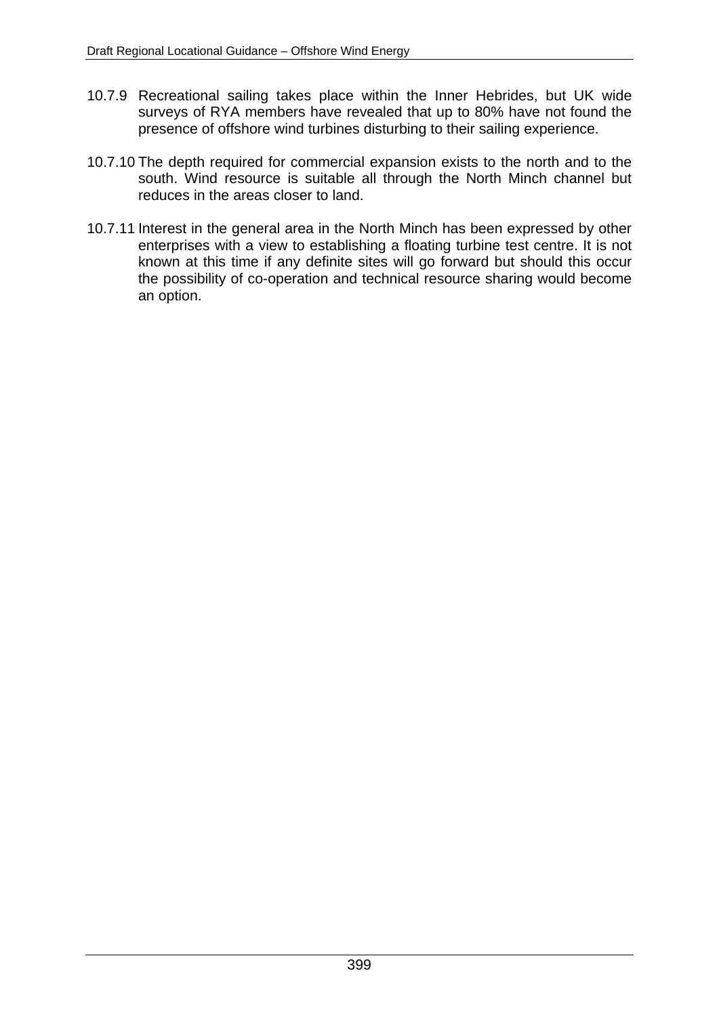- 10.7.9 Recreational sailing takes place within the Inner Hebrides, but UK wide surveys of RYA members have revealed that up to 80% have not found the presence of offshore wind turbines disturbing to their sailing experience.
- 10.7.10 The depth required for commercial expansion exists to the north and to the south. Wind resource is suitable all through the North Minch channel but reduces in the areas closer to land.
- 10.7.11 Interest in the general area in the North Minch has been expressed by other enterprises with a view to establishing a floating turbine test centre. It is not known at this time if any definite sites will go forward but should this occur the possibility of co-operation and technical resource sharing would become an option.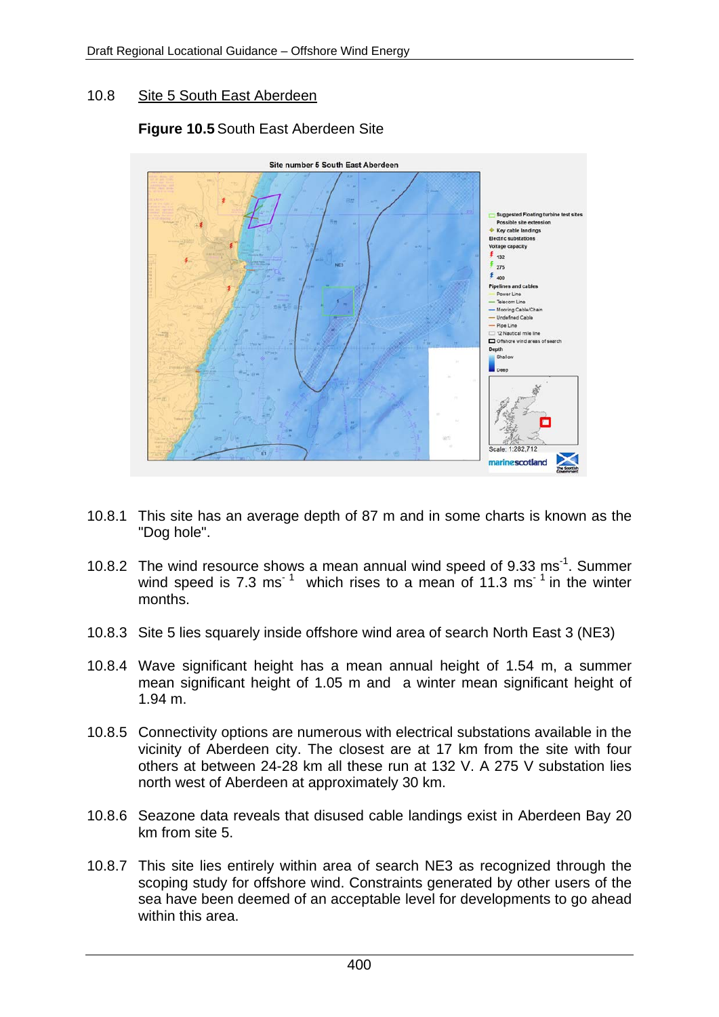#### 10.8 Site 5 South East Aberdeen

# **Figure 10.5** South East Aberdeen Site



- 10.8.1 This site has an average depth of 87 m and in some charts is known as the "Dog hole".
- 10.8.2 The wind resource shows a mean annual wind speed of 9.33 ms<sup>-1</sup>. Summer wind speed is 7.3 ms<sup> $1$ </sup> which rises to a mean of 11.3 ms<sup> $1$ </sup> in the winter months.
- 10.8.3 Site 5 lies squarely inside offshore wind area of search North East 3 (NE3)
- 10.8.4 Wave significant height has a mean annual height of 1.54 m, a summer mean significant height of 1.05 m and a winter mean significant height of 1.94 m.
- 10.8.5 Connectivity options are numerous with electrical substations available in the vicinity of Aberdeen city. The closest are at 17 km from the site with four others at between 24-28 km all these run at 132 V. A 275 V substation lies north west of Aberdeen at approximately 30 km.
- 10.8.6 Seazone data reveals that disused cable landings exist in Aberdeen Bay 20 km from site 5.
- 10.8.7 This site lies entirely within area of search NE3 as recognized through the scoping study for offshore wind. Constraints generated by other users of the sea have been deemed of an acceptable level for developments to go ahead within this area.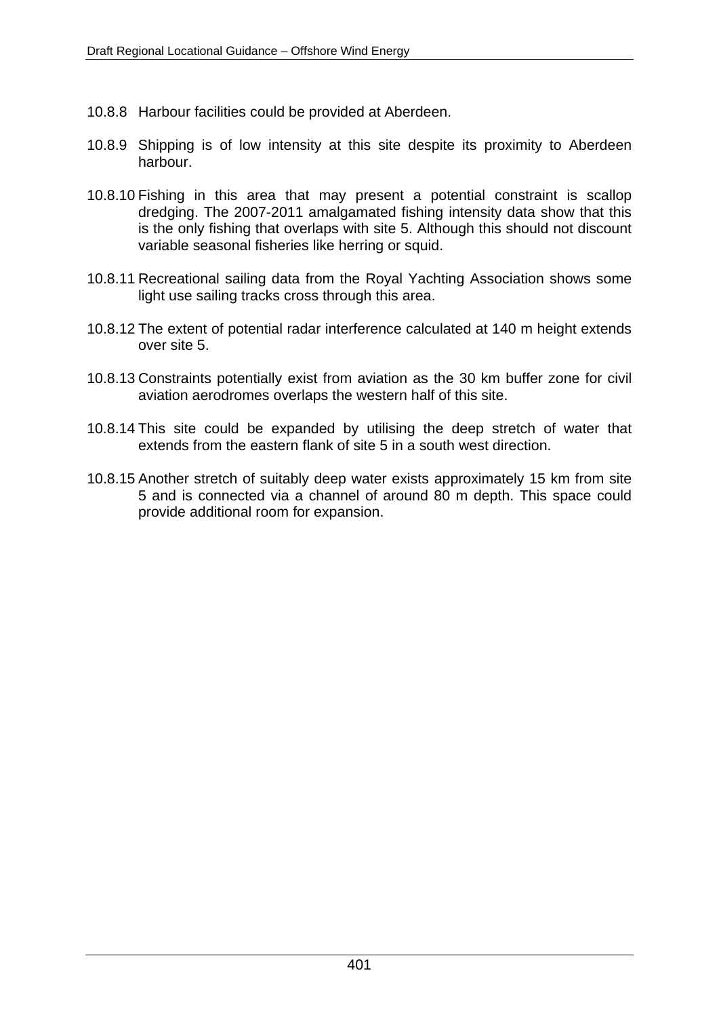- 10.8.8 Harbour facilities could be provided at Aberdeen.
- 10.8.9 Shipping is of low intensity at this site despite its proximity to Aberdeen harbour.
- 10.8.10 Fishing in this area that may present a potential constraint is scallop dredging. The 2007-2011 amalgamated fishing intensity data show that this is the only fishing that overlaps with site 5. Although this should not discount variable seasonal fisheries like herring or squid.
- 10.8.11 Recreational sailing data from the Royal Yachting Association shows some light use sailing tracks cross through this area.
- 10.8.12 The extent of potential radar interference calculated at 140 m height extends over site 5.
- 10.8.13 Constraints potentially exist from aviation as the 30 km buffer zone for civil aviation aerodromes overlaps the western half of this site.
- 10.8.14 This site could be expanded by utilising the deep stretch of water that extends from the eastern flank of site 5 in a south west direction.
- 10.8.15 Another stretch of suitably deep water exists approximately 15 km from site 5 and is connected via a channel of around 80 m depth. This space could provide additional room for expansion.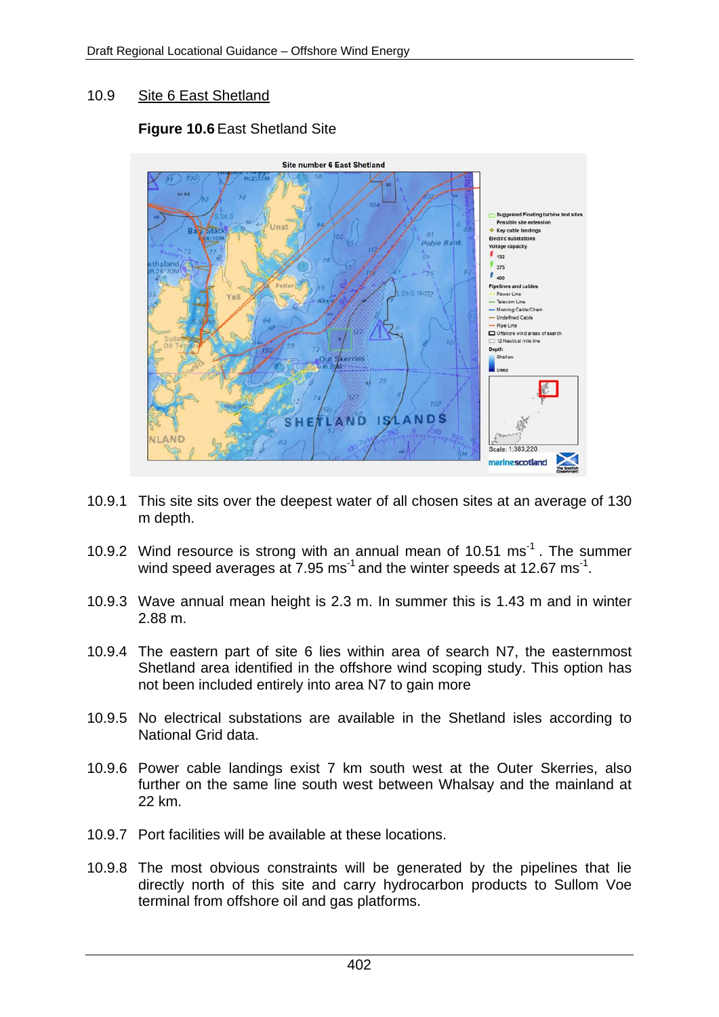# 10.9 Site 6 East Shetland

# **Figure 10.6** East Shetland Site



- 10.9.1 This site sits over the deepest water of all chosen sites at an average of 130 m depth.
- 10.9.2 Wind resource is strong with an annual mean of 10.51 ms<sup>-1</sup>. The summer wind speed averages at 7.95 ms<sup>-1</sup> and the winter speeds at 12.67 ms<sup>-1</sup>.
- 10.9.3 Wave annual mean height is 2.3 m. In summer this is 1.43 m and in winter 2.88 m.
- 10.9.4 The eastern part of site 6 lies within area of search N7, the easternmost Shetland area identified in the offshore wind scoping study. This option has not been included entirely into area N7 to gain more
- 10.9.5 No electrical substations are available in the Shetland isles according to National Grid data.
- 10.9.6 Power cable landings exist 7 km south west at the Outer Skerries, also further on the same line south west between Whalsay and the mainland at 22 km.
- 10.9.7 Port facilities will be available at these locations.
- 10.9.8 The most obvious constraints will be generated by the pipelines that lie directly north of this site and carry hydrocarbon products to Sullom Voe terminal from offshore oil and gas platforms.